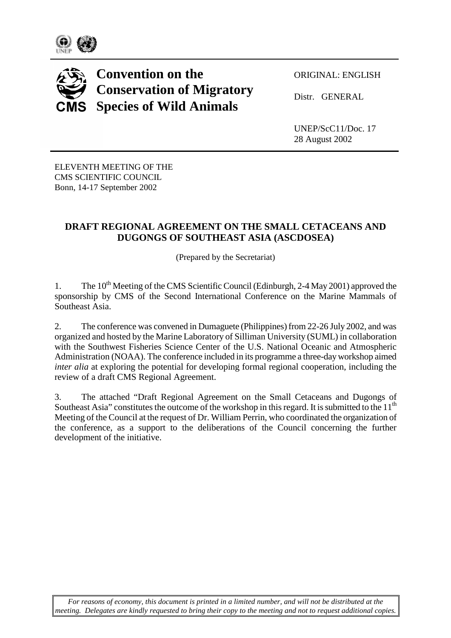



# **Convention on the Conservation of Migratory Species of Wild Animals**

ORIGINAL: ENGLISH

Distr. GENERAL

UNEP/ScC11/Doc. 17 28 August 2002

ELEVENTH MEETING OF THE CMS SCIENTIFIC COUNCIL Bonn, 14-17 September 2002

## **DRAFT REGIONAL AGREEMENT ON THE SMALL CETACEANS AND DUGONGS OF SOUTHEAST ASIA (ASCDOSEA)**

(Prepared by the Secretariat)

1. The  $10^{th}$  Meeting of the CMS Scientific Council (Edinburgh, 2-4 May 2001) approved the sponsorship by CMS of the Second International Conference on the Marine Mammals of Southeast Asia.

2. The conference was convened in Dumaguete (Philippines) from 22-26 July 2002, and was organized and hosted by the Marine Laboratory of Silliman University (SUML) in collaboration with the Southwest Fisheries Science Center of the U.S. National Oceanic and Atmospheric Administration (NOAA). The conference included in its programme a three-day workshop aimed *inter alia* at exploring the potential for developing formal regional cooperation, including the review of a draft CMS Regional Agreement.

3. The attached "Draft Regional Agreement on the Small Cetaceans and Dugongs of Southeast Asia" constitutes the outcome of the workshop in this regard. It is submitted to the  $11<sup>th</sup>$ Meeting of the Council at the request of Dr. William Perrin, who coordinated the organization of the conference, as a support to the deliberations of the Council concerning the further development of the initiative.

*For reasons of economy, this document is printed in a limited number, and will not be distributed at the meeting. Delegates are kindly requested to bring their copy to the meeting and not to request additional copies.*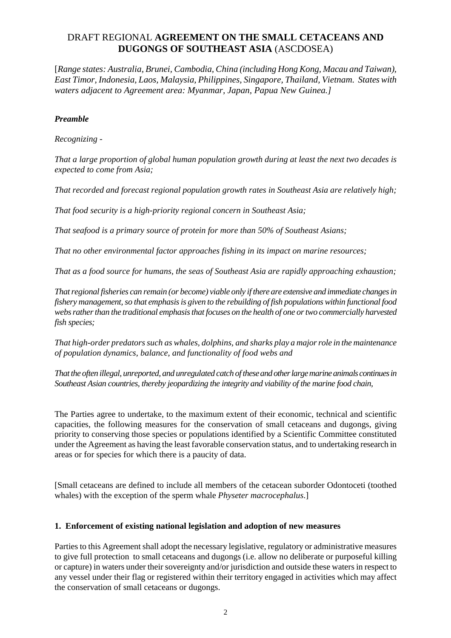## DRAFT REGIONAL **AGREEMENT ON THE SMALL CETACEANS AND DUGONGS OF SOUTHEAST ASIA** (ASCDOSEA)

[*Range states: Australia, Brunei, Cambodia, China (including Hong Kong, Macau and Taiwan), East Timor, Indonesia, Laos, Malaysia, Philippines, Singapore, Thailand, Vietnam. States with waters adjacent to Agreement area: Myanmar, Japan, Papua New Guinea.]* 

### *Preamble*

*Recognizing -* 

*That a large proportion of global human population growth during at least the next two decades is expected to come from Asia;* 

*That recorded and forecast regional population growth rates in Southeast Asia are relatively high;* 

*That food security is a high-priority regional concern in Southeast Asia;* 

*That seafood is a primary source of protein for more than 50% of Southeast Asians;* 

*That no other environmental factor approaches fishing in its impact on marine resources;* 

*That as a food source for humans, the seas of Southeast Asia are rapidly approaching exhaustion;* 

*That regional fisheries can remain (or become) viable only if there are extensive and immediate changes in fishery management, so that emphasis is given to the rebuilding of fish populations within functional food webs rather than the traditional emphasis that focuses on the health of one or two commercially harvested fish species;* 

*That high-order predators such as whales, dolphins, and sharks play a major role in the maintenance of population dynamics, balance, and functionality of food webs and* 

*That the often illegal, unreported, and unregulated catch of these and other large marine animals continues in Southeast Asian countries, thereby jeopardizing the integrity and viability of the marine food chain,* 

The Parties agree to undertake, to the maximum extent of their economic, technical and scientific capacities, the following measures for the conservation of small cetaceans and dugongs, giving priority to conserving those species or populations identified by a Scientific Committee constituted under the Agreement as having the least favorable conservation status, and to undertaking research in areas or for species for which there is a paucity of data.

[Small cetaceans are defined to include all members of the cetacean suborder Odontoceti (toothed whales) with the exception of the sperm whale *Physeter macrocephalus*.]

### **1. Enforcement of existing national legislation and adoption of new measures**

Parties to this Agreement shall adopt the necessary legislative, regulatory or administrative measures to give full protection to small cetaceans and dugongs (i.e. allow no deliberate or purposeful killing or capture) in waters under their sovereignty and/or jurisdiction and outside these waters in respect to any vessel under their flag or registered within their territory engaged in activities which may affect the conservation of small cetaceans or dugongs.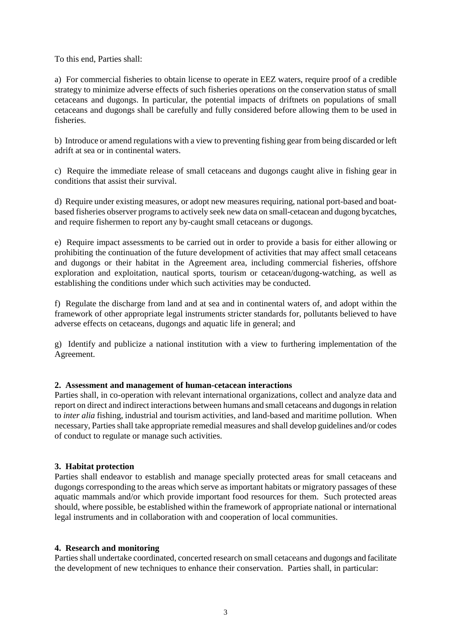To this end, Parties shall:

a) For commercial fisheries to obtain license to operate in EEZ waters, require proof of a credible strategy to minimize adverse effects of such fisheries operations on the conservation status of small cetaceans and dugongs. In particular, the potential impacts of driftnets on populations of small cetaceans and dugongs shall be carefully and fully considered before allowing them to be used in fisheries.

b) Introduce or amend regulations with a view to preventing fishing gear from being discarded or left adrift at sea or in continental waters.

c) Require the immediate release of small cetaceans and dugongs caught alive in fishing gear in conditions that assist their survival.

d) Require under existing measures, or adopt new measures requiring, national port-based and boatbased fisheries observer programs to actively seek new data on small-cetacean and dugong bycatches, and require fishermen to report any by-caught small cetaceans or dugongs.

e) Require impact assessments to be carried out in order to provide a basis for either allowing or prohibiting the continuation of the future development of activities that may affect small cetaceans and dugongs or their habitat in the Agreement area, including commercial fisheries, offshore exploration and exploitation, nautical sports, tourism or cetacean/dugong-watching, as well as establishing the conditions under which such activities may be conducted.

f) Regulate the discharge from land and at sea and in continental waters of, and adopt within the framework of other appropriate legal instruments stricter standards for, pollutants believed to have adverse effects on cetaceans, dugongs and aquatic life in general; and

g) Identify and publicize a national institution with a view to furthering implementation of the Agreement.

### **2. Assessment and management of human-cetacean interactions**

Parties shall, in co-operation with relevant international organizations, collect and analyze data and report on direct and indirect interactions between humans and small cetaceans and dugongs in relation to *inter alia* fishing, industrial and tourism activities, and land-based and maritime pollution. When necessary, Parties shall take appropriate remedial measures and shall develop guidelines and/or codes of conduct to regulate or manage such activities.

### **3. Habitat protection**

Parties shall endeavor to establish and manage specially protected areas for small cetaceans and dugongs corresponding to the areas which serve as important habitats or migratory passages of these aquatic mammals and/or which provide important food resources for them. Such protected areas should, where possible, be established within the framework of appropriate national or international legal instruments and in collaboration with and cooperation of local communities.

#### **4. Research and monitoring**

Parties shall undertake coordinated, concerted research on small cetaceans and dugongs and facilitate the development of new techniques to enhance their conservation. Parties shall, in particular: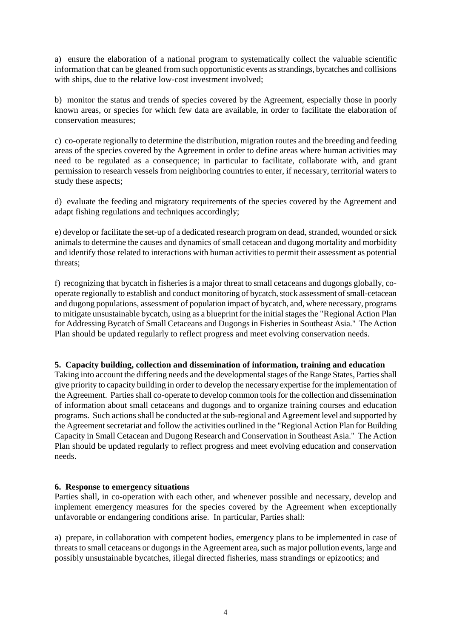a) ensure the elaboration of a national program to systematically collect the valuable scientific information that can be gleaned from such opportunistic events as strandings, bycatches and collisions with ships, due to the relative low-cost investment involved;

b) monitor the status and trends of species covered by the Agreement, especially those in poorly known areas, or species for which few data are available, in order to facilitate the elaboration of conservation measures;

c) co-operate regionally to determine the distribution, migration routes and the breeding and feeding areas of the species covered by the Agreement in order to define areas where human activities may need to be regulated as a consequence; in particular to facilitate, collaborate with, and grant permission to research vessels from neighboring countries to enter, if necessary, territorial waters to study these aspects;

d) evaluate the feeding and migratory requirements of the species covered by the Agreement and adapt fishing regulations and techniques accordingly;

e) develop or facilitate the set-up of a dedicated research program on dead, stranded, wounded or sick animals to determine the causes and dynamics of small cetacean and dugong mortality and morbidity and identify those related to interactions with human activities to permit their assessment as potential threats;

f) recognizing that bycatch in fisheries is a major threat to small cetaceans and dugongs globally, cooperate regionally to establish and conduct monitoring of bycatch, stock assessment of small-cetacean and dugong populations, assessment of population impact of bycatch, and, where necessary, programs to mitigate unsustainable bycatch, using as a blueprint for the initial stages the "Regional Action Plan for Addressing Bycatch of Small Cetaceans and Dugongs in Fisheries in Southeast Asia." The Action Plan should be updated regularly to reflect progress and meet evolving conservation needs.

### **5. Capacity building, collection and dissemination of information, training and education**

Taking into account the differing needs and the developmental stages of the Range States, Parties shall give priority to capacity building in order to develop the necessary expertise for the implementation of the Agreement. Parties shall co-operate to develop common tools for the collection and dissemination of information about small cetaceans and dugongs and to organize training courses and education programs. Such actions shall be conducted at the sub-regional and Agreement level and supported by the Agreement secretariat and follow the activities outlined in the "Regional Action Plan for Building Capacity in Small Cetacean and Dugong Research and Conservation in Southeast Asia." The Action Plan should be updated regularly to reflect progress and meet evolving education and conservation needs.

### **6. Response to emergency situations**

Parties shall, in co-operation with each other, and whenever possible and necessary, develop and implement emergency measures for the species covered by the Agreement when exceptionally unfavorable or endangering conditions arise. In particular, Parties shall:

a) prepare, in collaboration with competent bodies, emergency plans to be implemented in case of threats to small cetaceans or dugongs in the Agreement area, such as major pollution events, large and possibly unsustainable bycatches, illegal directed fisheries, mass strandings or epizootics; and